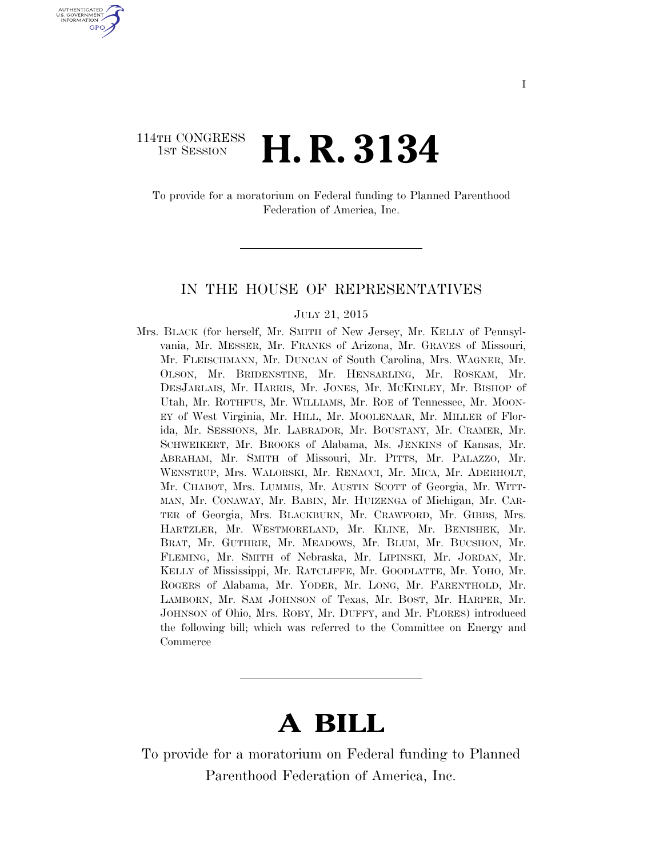### 114TH CONGRESS <sup>TH CONGRESS</sup>  $H$ . R. 3134

U.S. GOVERNMENT GPO

> To provide for a moratorium on Federal funding to Planned Parenthood Federation of America, Inc.

#### IN THE HOUSE OF REPRESENTATIVES

#### JULY 21, 2015

Mrs. BLACK (for herself, Mr. SMITH of New Jersey, Mr. KELLY of Pennsylvania, Mr. MESSER, Mr. FRANKS of Arizona, Mr. GRAVES of Missouri, Mr. FLEISCHMANN, Mr. DUNCAN of South Carolina, Mrs. WAGNER, Mr. OLSON, Mr. BRIDENSTINE, Mr. HENSARLING, Mr. ROSKAM, Mr. DESJARLAIS, Mr. HARRIS, Mr. JONES, Mr. MCKINLEY, Mr. BISHOP of Utah, Mr. ROTHFUS, Mr. WILLIAMS, Mr. ROE of Tennessee, Mr. MOON-EY of West Virginia, Mr. HILL, Mr. MOOLENAAR, Mr. MILLER of Florida, Mr. SESSIONS, Mr. LABRADOR, Mr. BOUSTANY, Mr. CRAMER, Mr. SCHWEIKERT, Mr. BROOKS of Alabama, Ms. JENKINS of Kansas, Mr. ABRAHAM, Mr. SMITH of Missouri, Mr. PITTS, Mr. PALAZZO, Mr. WENSTRUP, Mrs. WALORSKI, Mr. RENACCI, Mr. MICA, Mr. ADERHOLT, Mr. CHABOT, Mrs. LUMMIS, Mr. AUSTIN SCOTT of Georgia, Mr. WITT-MAN, Mr. CONAWAY, Mr. BABIN, Mr. HUIZENGA of Michigan, Mr. CAR-TER of Georgia, Mrs. BLACKBURN, Mr. CRAWFORD, Mr. GIBBS, Mrs. HARTZLER, Mr. WESTMORELAND, Mr. KLINE, Mr. BENISHEK, Mr. BRAT, Mr. GUTHRIE, Mr. MEADOWS, Mr. BLUM, Mr. BUCSHON, Mr. FLEMING, Mr. SMITH of Nebraska, Mr. LIPINSKI, Mr. JORDAN, Mr. KELLY of Mississippi, Mr. RATCLIFFE, Mr. GOODLATTE, Mr. YOHO, Mr. ROGERS of Alabama, Mr. YODER, Mr. LONG, Mr. FARENTHOLD, Mr. LAMBORN, Mr. SAM JOHNSON of Texas, Mr. BOST, Mr. HARPER, Mr. JOHNSON of Ohio, Mrs. ROBY, Mr. DUFFY, and Mr. FLORES) introduced the following bill; which was referred to the Committee on Energy and Commerce

# **A BILL**

To provide for a moratorium on Federal funding to Planned Parenthood Federation of America, Inc.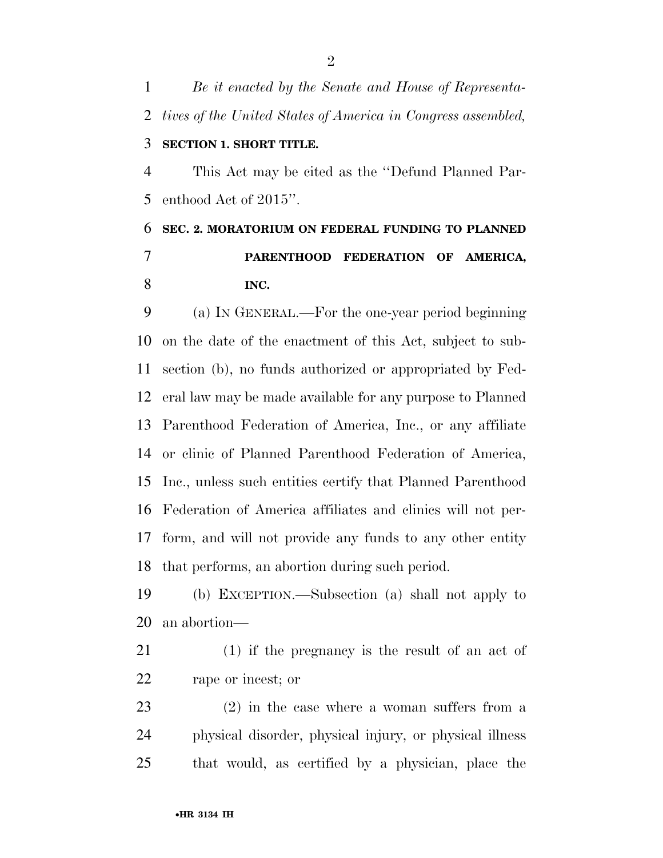*Be it enacted by the Senate and House of Representa- tives of the United States of America in Congress assembled,*  **SECTION 1. SHORT TITLE.**  This Act may be cited as the ''Defund Planned Par-enthood Act of 2015''.

## **SEC. 2. MORATORIUM ON FEDERAL FUNDING TO PLANNED PARENTHOOD FEDERATION OF AMERICA, INC.**

 (a) IN GENERAL.—For the one-year period beginning on the date of the enactment of this Act, subject to sub- section (b), no funds authorized or appropriated by Fed- eral law may be made available for any purpose to Planned Parenthood Federation of America, Inc., or any affiliate or clinic of Planned Parenthood Federation of America, Inc., unless such entities certify that Planned Parenthood Federation of America affiliates and clinics will not per- form, and will not provide any funds to any other entity that performs, an abortion during such period.

 (b) EXCEPTION.—Subsection (a) shall not apply to an abortion—

 (1) if the pregnancy is the result of an act of rape or incest; or

 (2) in the case where a woman suffers from a physical disorder, physical injury, or physical illness that would, as certified by a physician, place the